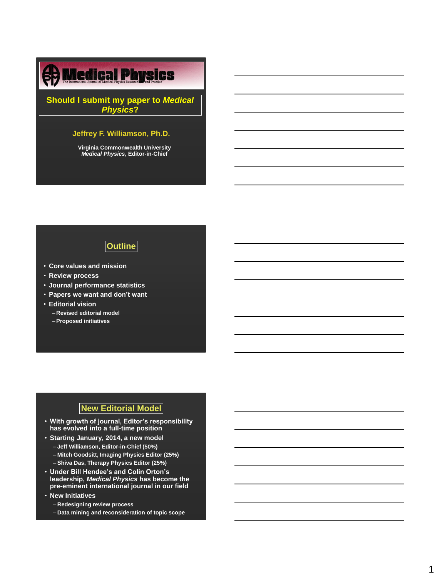# *The Department of Radiation Oncology*

**Should I submit my paper to** *Medical Physics***?**

### **Jeffrey F. Williamson, Ph.D.**

**Virginia Commonwealth University** *Medical Physics***, Editor-in-Chief**

# **Outline**

- **Core values and mission**
- **Review process**
- **Journal performance statistics**
- **Papers we want and don't want**
- **Editorial vision**
	- **Revised editorial model**
	- **Proposed initiatives**

# **New Editorial Model**

- **With growth of journal, Editor's responsibility has evolved into a full-time position**
- **Starting January, 2014, a new model** – **Jeff Williamson, Editor-in-Chief (50%)** – **Mitch Goodsitt, Imaging Physics Editor (25%)**
	- **Shiva Das, Therapy Physics Editor (25%)**
- **Under Bill Hendee's and Colin Orton's leadership,** *Medical Physics* **has become the pre-eminent international journal in our field**
- **New Initiatives**
	- **Redesigning review process**
	- **Data mining and reconsideration of topic scope**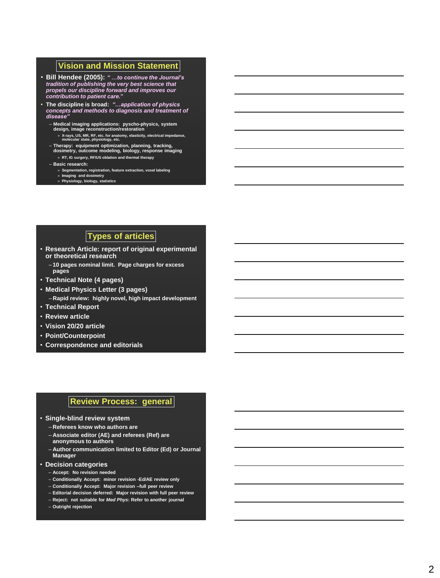#### **Vision and Mission Statement**

- **Bill Hendee (2005):** *" …to continue the Journal's tradition of publishing the very best science that propels our discipline forward and improves our contribution to patient care.* **"**
- **The discipline is broad:** *"…application of physics concepts and methods to diagnosis and treatment of disease"*
	- **Medical imaging applications: pyscho -physics, system design, image reconstruction/restoration** 
		- » **X-rays, US, MR, RF, etc. for anatomy, elasticity, electrical impedance, molecular state, physiology, etc.**
	- **Therapy: equipment optimization, planning, tracking, dosimetry, outcome modeling, biology, response imaging** » **RT, IG surgery, RF/US oblation and thermal therapy**
	- **Basic research:** 
		- » **Segmentation, registration, feature extraction, voxel labeling**
		- » **Imaging and dosimetry** » **Physiology, biology, statistics**

## **Types of articles**

- **Research Article: report of original experimental or theoretical research**
	- **10 pages nominal limit. Page charges for excess pages**
- **Technical Note (4 pages)**
- **Medical Physics Letter (3 pages)** – **Rapid review: highly novel, high impact development**
- **Technical Report**
- **Review article**
- **Vision 20/20 article**
- **Point/Counterpoint**
- **Correspondence and editorials**

#### **Review Process: general**

- **Single -blind review system**
	- **Referees know who authors are**
	- **Associate editor (AE) and referees (Ref) are anonymous to authors**
	- **Author communication limited to Editor (Ed) or Journal Manager**
- **Decision categories**
	- **Accept: No revision needed**
	- **Conditionally Accept: minor revision -Ed/AE review only**
	- **Conditionally Accept: Major revision –full peer review**
	- **Editorial decision deferred: Major revision with full peer review**
	- **Reject: not suitable for** *Med Phys***: Refer to another journal**
	- **Outright rejection**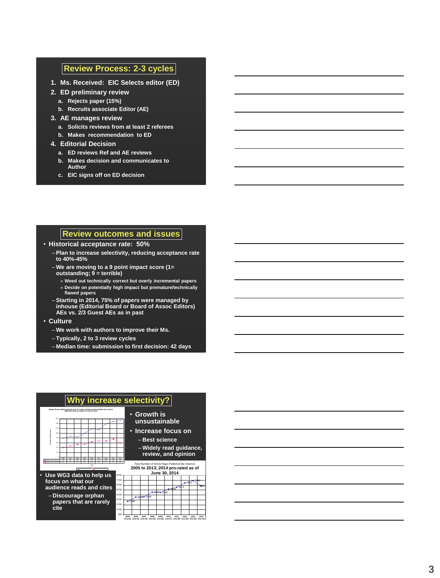#### **Review Process: 2 -3 cycles**

- **1. Ms. Received: EIC Selects editor (ED)**
- **2. ED preliminary review**
	- **a. Rejects paper (15%)**
	- **b. Recruits associate Editor (AE)**
- **3. AE manages review** 
	- **a. Solicits reviews from at least 2 referees**
	- **b. Makes recommendation to ED**
- **4. Editorial Decision**
	- **a. ED reviews Ref and AE reviews**
	- **b. Makes decision and communicates to Author**
	- **c. EIC signs off on ED decision**

#### **Review outcomes and issues**

#### • **Historical acceptance rate: 50%**

- **Plan to increase selectivity, reducing acceptance rate to 40% -45%**
- **We are moving to a 9 point impact score (1= outstanding; 9 = terrible)** 
	- » **Weed out technically correct but overly incremental papers**
	- » **Decide on potentially high impact but premature/technically flawed papers**
- **Starting in 2014, 75% of papers were managed by inhouse (Editorial Board or Board of Assoc Editors) AEs vs. 2/3 Guest AEs as in past**
- **Culture**
	- **We work with authors to improve their Ms.**
	- **Typically, 2 to 3 review cycles**
	- **Median time: submission to first decision: 42 days**



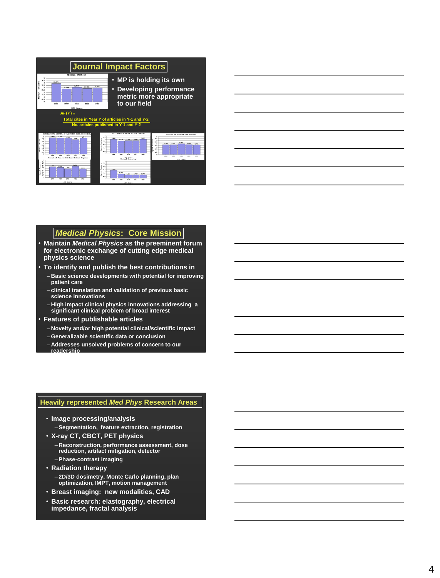| <b>Journal Impact Factors</b>                                                                                                                                                                                               |                                                                                                                                                                                                                                                                                        |
|-----------------------------------------------------------------------------------------------------------------------------------------------------------------------------------------------------------------------------|----------------------------------------------------------------------------------------------------------------------------------------------------------------------------------------------------------------------------------------------------------------------------------------|
| MEDICAL PHYSICS<br>5<br>4,5<br>actors<br>3,871<br>$\overline{a}$<br>3.5<br>3.875<br>2,911<br>2.838<br>×<br>0,704<br>2.5<br>٠<br>1.5<br>1<br>0.5<br>$\mathbf{a}$<br>2008<br>2699<br>2911<br>2012<br>2010<br><b>JCR Years</b> | • MP is holding its own<br>• Developing performance<br>metric more appropriate<br>to our field                                                                                                                                                                                         |
| $JIF(Y) =$                                                                                                                                                                                                                  |                                                                                                                                                                                                                                                                                        |
|                                                                                                                                                                                                                             | Total cites in Year Y of articles in Y-1 and Y-2                                                                                                                                                                                                                                       |
|                                                                                                                                                                                                                             | No. articles published in Y-1 and Y-2                                                                                                                                                                                                                                                  |
|                                                                                                                                                                                                                             |                                                                                                                                                                                                                                                                                        |
| JOURNAL OF REGENTION DNOWLOCY BEDLOG<br>ENTY PROT TONICE                                                                                                                                                                    | SEET TROMPACTEDNES ON RESIDENT SPACING<br>PHONESTS IN REDUCTING ONE BEEK OF 3                                                                                                                                                                                                          |
| 4.899<br>5.700<br>4,524<br>6,783<br>4.5<br>1.187<br>٠<br>i<br>3.5<br>9.5<br>ť<br>1.5<br>×<br>9.5<br>min.<br><b>HELL</b><br><b>PAGE</b><br>2812                                                                              | 4.5<br>4,894<br>5.897<br>£.<br>5.650<br>144<br>3,548<br>3,3<br>3,5<br>3,000<br>8,384<br>0.39<br>2,523<br>0.381<br>×<br>2.3<br>8.8<br>٠<br>1.0<br>1.5<br>1<br>6.5<br><br><b>String</b><br><b>NH</b><br>me<br><b>HOL</b><br>2665<br><b>Hotel</b><br>2812<br>240.0<br><b>PAGE</b><br>1911 |
| Journal of Applied Clinical Redical Physics<br>٠<br>1.8                                                                                                                                                                     | JOR Years<br>Medical Docimetry<br><b>JOR Years</b>                                                                                                                                                                                                                                     |
| Factor:<br>1.4<br>1.4<br>1,709<br>Factio<br>1,188<br>1.2<br>1,300<br>0.998<br>٠<br>6.8<br>ť<br>6.4<br>0, 4<br>6.2<br><b>PROF</b><br><b>Mind</b><br><b>MAR</b><br><b>PRES</b><br>pasz                                        | 4.5<br>a.n.<br>٠<br>2,326<br>2.3<br>1.0<br>$-40$<br>1,005<br>8.548<br>6.5<br><b>Sales</b><br>1414<br><b>NATION</b><br>16668                                                                                                                                                            |
| <b>JOR Years</b>                                                                                                                                                                                                            | <b>ICR Years</b>                                                                                                                                                                                                                                                                       |



### *Medical Physics***: Core Mission**

- **Maintain** *Medical Physics* **as the preeminent forum for electronic exchange of cutting edge medical physics science**
- **To identify and publish the best contributions in**
	- **Basic science developments with potential for improving patient care**
	- **clinical translation and validation of previous basic science innovations**
	- **High impact clinical physics innovations addressing a significant clinical problem of broad interest**
- **Features of publishable articles**
	- **Novelty and/or high potential clinical/scientific impact**
	- **Generalizable scientific data or conclusion**
	- **Addresses unsolved problems of concern to our readership**

#### **Heavily represented** *Med Phys* **Research Areas**

- **Image processing/analysis** – **Segmentation, feature extraction, registration**
- **X-ray CT, CBCT, PET physics**
	- **Reconstruction, performance assessment, dose reduction, artifact mitigation, detector** – **Phase-contrast imaging**
- **Radiation therapy**
	- **2D/3D dosimetry, Monte Carlo planning, plan optimization, IMPT, motion management**
- **Breast imaging: new modalities, CAD**
- **Basic research: elastography, electrical impedance, fractal analysis**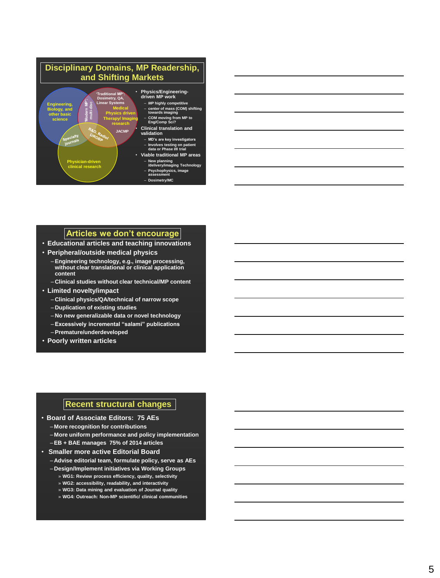

## **Articles we don't encourage**

- **Educational articles and teaching innovations**
- **Peripheral/outside medical physics**
	- **Engineering technology, e.g., image processing, without clear translational or clinical application content**
	- **Clinical studies without clear technical/MP content**
- **Limited novelty/impact**
	- **Clinical physics/QA/technical of narrow scope**
	- **Duplication of existing studies**
	- **No new generalizable data or novel technology**
	- **Excessively incremental "salami" publications**
	- **Premature/underdeveloped**
- **Poorly written articles**

#### **Recent structural changes**

- **Board of Associate Editors: 75 AEs**
	- **More recognition for contributions**
	- **More uniform performance and policy implementation**
	- **EB + BAE manages 75% of 2014 articles**
- **Smaller more active Editorial Board**
	- **Advise editorial team, formulate policy, serve as AEs**
	- **Design/Implement initiatives via Working Groups**
		- » **WG1: Review process efficiency, quality, selectivity**
		- » **WG2: accessibility, readability, and interactivity** » **WG3: Data mining and evaluation of Journal quality**
		- » **WG4: Outreach: Non-MP scientific/ clinical communities**
		-